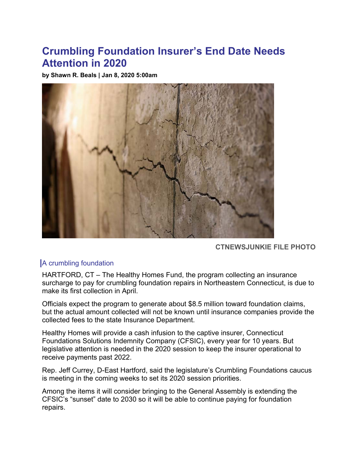## **Crumbling Foundation Insurer's End Date Needs Attention in 2020**

**by Shawn R. Beals | Jan 8, 2020 5:00am** 



**CTNEWSJUNKIE FILE PHOTO**

## A crumbling foundation

HARTFORD, CT – The Healthy Homes Fund, the program collecting an insurance surcharge to pay for crumbling foundation repairs in Northeastern Connecticut, is due to make its first collection in April.

Officials expect the program to generate about \$8.5 million toward foundation claims, but the actual amount collected will not be known until insurance companies provide the collected fees to the state Insurance Department.

Healthy Homes will provide a cash infusion to the captive insurer, Connecticut Foundations Solutions Indemnity Company (CFSIC), every year for 10 years. But legislative attention is needed in the 2020 session to keep the insurer operational to receive payments past 2022.

Rep. Jeff Currey, D-East Hartford, said the legislature's Crumbling Foundations caucus is meeting in the coming weeks to set its 2020 session priorities.

Among the items it will consider bringing to the General Assembly is extending the CFSIC's "sunset" date to 2030 so it will be able to continue paying for foundation repairs.